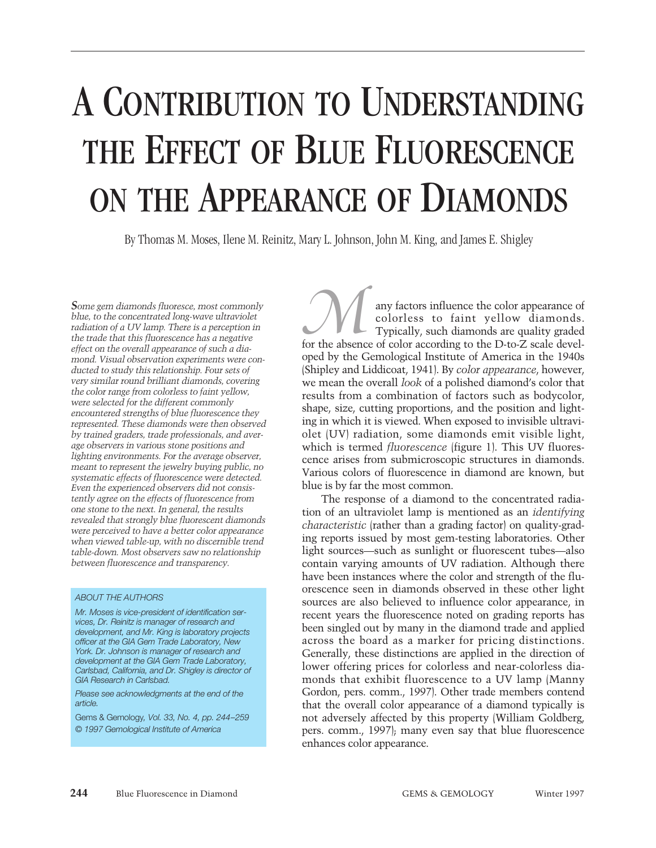# A CONTRIBUTION TO UNDERSTANDING THE EFFECT OF BLUE FLUORESCENCE ON THE APPEARANCE OF DIAMONDS

By Thomas M. Moses, Ilene M. Reinitz, Mary L. Johnson, John M. King, and James E. Shigley

*Some gem diamonds fluoresce, most commonly blue, to the concentrated long-wave ultraviolet radiation of a UV lamp. There is a perception in the trade that this fluorescence has a negative effect on the overall appearance of such a diamond. Visual observation experiments were conducted to study this relationship. Four sets of very similar round brilliant diamonds, covering the color range from colorless to faint yellow, were selected for the different commonly encountered strengths of blue fluorescence they represented. These diamonds were then observed by trained graders, trade professionals, and average observers in various stone positions and lighting environments. For the average observer, meant to represent the jewelry buying public, no systematic effects of fluorescence were detected. Even the experienced observers did not consistently agree on the effects of fluorescence from one stone to the next. In general, the results revealed that strongly blue fluorescent diamonds were perceived to have a better color appearance when viewed table-up, with no discernible trend table-down. Most observers saw no relationship between fluorescence and transparency.*

#### *ABOUT THE AUTHORS*

*Mr. Moses is vice-president of identification services, Dr. Reinitz is manager of research and development, and Mr. King is laboratory projects officer at the GIA Gem Trade Laboratory, New York. Dr. Johnson is manager of research and development at the GIA Gem Trade Laboratory, Carlsbad, California, and Dr. Shigley is director of GIA Research in Carlsbad.*

*Please see acknowledgments at the end of the article.* 

Gems & Gemology*, Vol. 33, No. 4, pp. 244–259 © 1997 Gemological Institute of America*

any factors influence the color appearance of colorless to faint yellow diamonds. Typically, such diamonds are quality graded any factors influence the color appearance of colorless to faint yellow diamonds.<br>Typically, such diamonds are quality graded for the absence of color according to the D-to-Z scale developed by the Gemological Institute of America in the 1940s (Shipley and Liddicoat, 1941). By *color appearance*, however, we mean the overall *look* of a polished diamond's color that results from a combination of factors such as bodycolor, shape, size, cutting proportions, and the position and lighting in which it is viewed. When exposed to invisible ultraviolet (UV) radiation, some diamonds emit visible light, which is termed *fluorescence* (figure 1). This UV fluorescence arises from submicroscopic structures in diamonds. Various colors of fluorescence in diamond are known, but blue is by far the most common.

The response of a diamond to the concentrated radiation of an ultraviolet lamp is mentioned as an *identifying characteristic* (rather than a grading factor) on quality-grading reports issued by most gem-testing laboratories. Other light sources—such as sunlight or fluorescent tubes—also contain varying amounts of UV radiation. Although there have been instances where the color and strength of the fluorescence seen in diamonds observed in these other light sources are also believed to influence color appearance, in recent years the fluorescence noted on grading reports has been singled out by many in the diamond trade and applied across the board as a marker for pricing distinctions. Generally, these distinctions are applied in the direction of lower offering prices for colorless and near-colorless diamonds that exhibit fluorescence to a UV lamp (Manny Gordon, pers. comm., 1997). Other trade members contend that the overall color appearance of a diamond typically is not adversely affected by this property (William Goldberg, pers. comm., 1997); many even say that blue fluorescence enhances color appearance.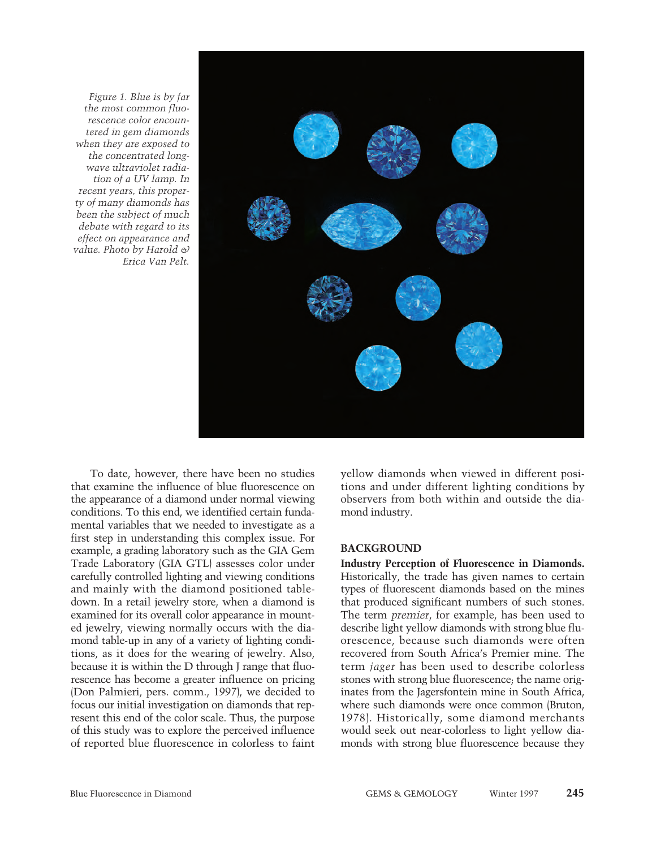

*Figure 1. Blue is by far the most common fluorescence color encountered in gem diamonds when they are exposed to the concentrated longwave ultraviolet radiation of a UV lamp. In recent years, this property of many diamonds has been the subject of much debate with regard to its effect on appearance and value. Photo by Harold & Erica Van Pelt.*

To date, however, there have been no studies that examine the influence of blue fluorescence on the appearance of a diamond under normal viewing conditions. To this end, we identified certain fundamental variables that we needed to investigate as a first step in understanding this complex issue. For example, a grading laboratory such as the GIA Gem Trade Laboratory (GIA GTL) assesses color under carefully controlled lighting and viewing conditions and mainly with the diamond positioned tabledown. In a retail jewelry store, when a diamond is examined for its overall color appearance in mounted jewelry, viewing normally occurs with the diamond table-up in any of a variety of lighting conditions, as it does for the wearing of jewelry. Also, because it is within the D through J range that fluorescence has become a greater influence on pricing (Don Palmieri, pers. comm., 1997), we decided to focus our initial investigation on diamonds that represent this end of the color scale. Thus, the purpose of this study was to explore the perceived influence of reported blue fluorescence in colorless to faint

yellow diamonds when viewed in different positions and under different lighting conditions by observers from both within and outside the diamond industry.

### **BACKGROUND**

**Industry Perception of Fluorescence in Diamonds.** Historically, the trade has given names to certain types of fluorescent diamonds based on the mines that produced significant numbers of such stones. The term *premier*, for example, has been used to describe light yellow diamonds with strong blue fluorescence, because such diamonds were often recovered from South Africa's Premier mine. The term *jager* has been used to describe colorless stones with strong blue fluorescence; the name originates from the Jagersfontein mine in South Africa, where such diamonds were once common (Bruton, 1978). Historically, some diamond merchants would seek out near-colorless to light yellow diamonds with strong blue fluorescence because they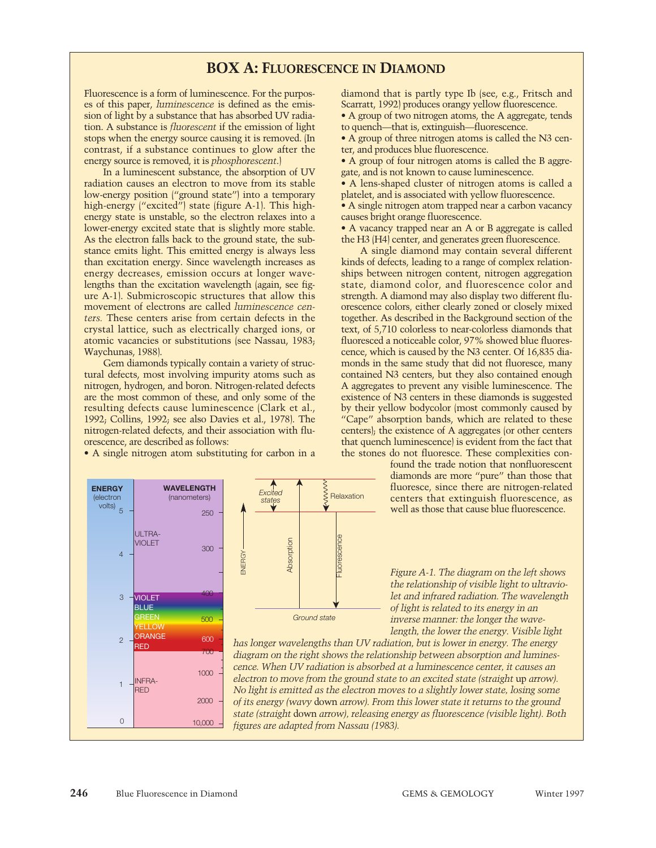# **BOX A: FLUORESCENCE IN DIAMOND**

Fluorescence is a form of luminescence. For the purposes of this paper, *luminescence* is defined as the emission of light by a substance that has absorbed UV radiation. A substance is *fluorescent* if the emission of light stops when the energy source causing it is removed. (In contrast, if a substance continues to glow after the energy source is removed, it is *phosphorescent*.)

In a luminescent substance, the absorption of UV radiation causes an electron to move from its stable low-energy position ("ground state") into a temporary high-energy ("excited") state (figure A-1). This highenergy state is unstable, so the electron relaxes into a lower-energy excited state that is slightly more stable. As the electron falls back to the ground state, the substance emits light. This emitted energy is always less than excitation energy. Since wavelength increases as energy decreases, emission occurs at longer wavelengths than the excitation wavelength (again, see figure A-1). Submicroscopic structures that allow this movement of electrons are called *luminescence centers.* These centers arise from certain defects in the crystal lattice, such as electrically charged ions, or atomic vacancies or substitutions (see Nassau, 1983; Waychunas, 1988).

Gem diamonds typically contain a variety of structural defects, most involving impurity atoms such as nitrogen, hydrogen, and boron. Nitrogen-related defects are the most common of these, and only some of the resulting defects cause luminescence (Clark et al., 1992; Collins, 1992; see also Davies et al., 1978). The nitrogen-related defects, and their association with fluorescence, are described as follows:

• A single nitrogen atom substituting for carbon in a

diamond that is partly type Ib (see, e.g., Fritsch and Scarratt, 1992) produces orangy yellow fluorescence.

• A group of two nitrogen atoms, the A aggregate, tends to quench—that is, extinguish—fluorescence.

• A group of three nitrogen atoms is called the N3 center, and produces blue fluorescence.

• A group of four nitrogen atoms is called the B aggregate, and is not known to cause luminescence.

• A lens-shaped cluster of nitrogen atoms is called a platelet, and is associated with yellow fluorescence.

• A single nitrogen atom trapped near a carbon vacancy causes bright orange fluorescence.

• A vacancy trapped near an A or B aggregate is called the H3 (H4) center, and generates green fluorescence.

A single diamond may contain several different kinds of defects, leading to a range of complex relationships between nitrogen content, nitrogen aggregation state, diamond color, and fluorescence color and strength. A diamond may also display two different fluorescence colors, either clearly zoned or closely mixed together. As described in the Background section of the text, of 5,710 colorless to near-colorless diamonds that fluoresced a noticeable color, 97% showed blue fluorescence, which is caused by the N3 center. Of 16,835 diamonds in the same study that did not fluoresce, many contained N3 centers, but they also contained enough A aggregates to prevent any visible luminescence. The existence of N3 centers in these diamonds is suggested by their yellow bodycolor (most commonly caused by "Cape" absorption bands, which are related to these centers); the existence of A aggregates (or other centers that quench luminescence) is evident from the fact that the stones do not fluoresce. These complexities con-

> found the trade notion that nonfluorescent diamonds are more "pure" than those that fluoresce, since there are nitrogen-related centers that extinguish fluorescence, as well as those that cause blue fluorescence.



*has longer wavelengths than UV radiation, but is lower in energy. The energy diagram on the right shows the relationship between absorption and luminescence. When UV radiation is absorbed at a luminescence center, it causes an electron to move from the ground state to an excited state (straight up arrow). No light is emitted as the electron moves to a slightly lower state, losing some of its energy (wavy* down *arrow). From this lower state it returns to the ground state (straight* down *arrow), releasing energy as fluorescence (visible light). Both figures are adapted from Nassau (1983).*<br> *figures are adapted from Nassau (1983).*<br> *figures are adapted from Nassau (1983).*<br> *figures are adapted from Nassau (1983).*<br> *figures are adapted from Nassau (1983).* 



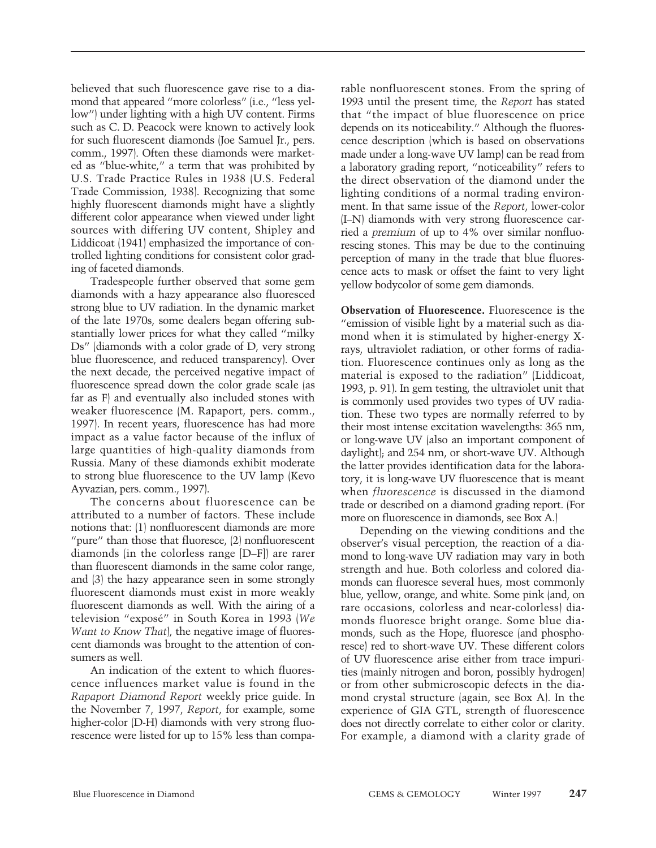believed that such fluorescence gave rise to a diamond that appeared "more colorless" (i.e., "less yellow") under lighting with a high UV content. Firms such as C. D. Peacock were known to actively look for such fluorescent diamonds (Joe Samuel Jr., pers. comm., 1997). Often these diamonds were marketed as "blue-white," a term that was prohibited by U.S. Trade Practice Rules in 1938 (U.S. Federal Trade Commission, 1938). Recognizing that some highly fluorescent diamonds might have a slightly different color appearance when viewed under light sources with differing UV content, Shipley and Liddicoat (1941) emphasized the importance of controlled lighting conditions for consistent color grading of faceted diamonds.

Tradespeople further observed that some gem diamonds with a hazy appearance also fluoresced strong blue to UV radiation. In the dynamic market of the late 1970s, some dealers began offering substantially lower prices for what they called "milky Ds" (diamonds with a color grade of D, very strong blue fluorescence, and reduced transparency). Over the next decade, the perceived negative impact of fluorescence spread down the color grade scale (as far as F) and eventually also included stones with weaker fluorescence (M. Rapaport, pers. comm., 1997). In recent years, fluorescence has had more impact as a value factor because of the influx of large quantities of high-quality diamonds from Russia. Many of these diamonds exhibit moderate to strong blue fluorescence to the UV lamp (Kevo Ayvazian, pers. comm., 1997).

The concerns about fluorescence can be attributed to a number of factors. These include notions that: (1) nonfluorescent diamonds are more "pure" than those that fluoresce, (2) nonfluorescent diamonds (in the colorless range [D–F]) are rarer than fluorescent diamonds in the same color range, and (3) the hazy appearance seen in some strongly fluorescent diamonds must exist in more weakly fluorescent diamonds as well. With the airing of a television "exposé" in South Korea in 1993 (*We Want to Know That*), the negative image of fluorescent diamonds was brought to the attention of consumers as well.

An indication of the extent to which fluorescence influences market value is found in the *Rapaport Diamond Report* weekly price guide. In the November 7, 1997, *Report*, for example, some higher-color (D-H) diamonds with very strong fluorescence were listed for up to 15% less than comparable nonfluorescent stones. From the spring of 1993 until the present time, the *Report* has stated that "the impact of blue fluorescence on price depends on its noticeability." Although the fluorescence description (which is based on observations made under a long-wave UV lamp) can be read from a laboratory grading report, "noticeability" refers to the direct observation of the diamond under the lighting conditions of a normal trading environment. In that same issue of the *Report*, lower-color (I–N) diamonds with very strong fluorescence carried a *premium* of up to 4% over similar nonfluorescing stones. This may be due to the continuing perception of many in the trade that blue fluorescence acts to mask or offset the faint to very light yellow bodycolor of some gem diamonds.

**Observation of Fluorescence.** Fluorescence is the "emission of visible light by a material such as diamond when it is stimulated by higher-energy Xrays, ultraviolet radiation, or other forms of radiation. Fluorescence continues only as long as the material is exposed to the radiation" (Liddicoat, 1993, p. 91). In gem testing, the ultraviolet unit that is commonly used provides two types of UV radiation. These two types are normally referred to by their most intense excitation wavelengths: 365 nm, or long-wave UV (also an important component of daylight); and 254 nm, or short-wave UV. Although the latter provides identification data for the laboratory, it is long-wave UV fluorescence that is meant when *fluorescence* is discussed in the diamond trade or described on a diamond grading report. (For more on fluorescence in diamonds, see Box A.)

Depending on the viewing conditions and the observer's visual perception, the reaction of a diamond to long-wave UV radiation may vary in both strength and hue. Both colorless and colored diamonds can fluoresce several hues, most commonly blue, yellow, orange, and white. Some pink (and, on rare occasions, colorless and near-colorless) diamonds fluoresce bright orange. Some blue diamonds, such as the Hope, fluoresce (and phosphoresce) red to short-wave UV. These different colors of UV fluorescence arise either from trace impurities (mainly nitrogen and boron, possibly hydrogen) or from other submicroscopic defects in the diamond crystal structure (again, see Box A). In the experience of GIA GTL, strength of fluorescence does not directly correlate to either color or clarity. For example, a diamond with a clarity grade of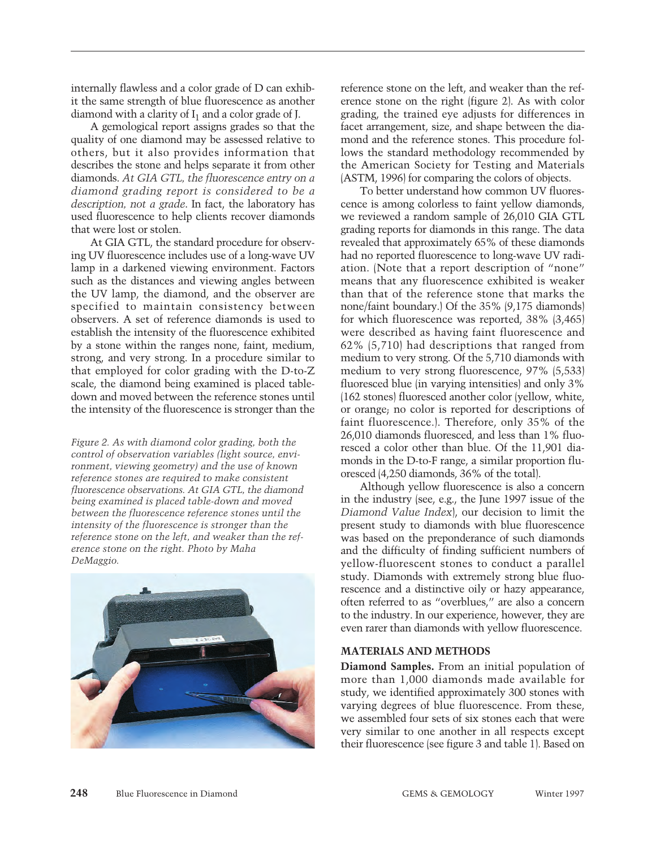internally flawless and a color grade of D can exhibit the same strength of blue fluorescence as another diamond with a clarity of  $I_1$  and a color grade of J.

A gemological report assigns grades so that the quality of one diamond may be assessed relative to others, but it also provides information that describes the stone and helps separate it from other diamonds. *At GIA GTL, the fluorescence entry on a diamond grading report is considered to be a description, not a grade*. In fact, the laboratory has used fluorescence to help clients recover diamonds that were lost or stolen.

At GIA GTL, the standard procedure for observing UV fluorescence includes use of a long-wave UV lamp in a darkened viewing environment. Factors such as the distances and viewing angles between the UV lamp, the diamond, and the observer are specified to maintain consistency between observers. A set of reference diamonds is used to establish the intensity of the fluorescence exhibited by a stone within the ranges none, faint, medium, strong, and very strong. In a procedure similar to that employed for color grading with the D-to-Z scale, the diamond being examined is placed tabledown and moved between the reference stones until the intensity of the fluorescence is stronger than the

*Figure 2. As with diamond color grading, both the control of observation variables (light source, environment, viewing geometry) and the use of known reference stones are required to make consistent fluorescence observations. At GIA GTL, the diamond being examined is placed table-down and moved between the fluorescence reference stones until the intensity of the fluorescence is stronger than the reference stone on the left, and weaker than the reference stone on the right. Photo by Maha DeMaggio.*



reference stone on the left, and weaker than the reference stone on the right (figure 2). As with color grading, the trained eye adjusts for differences in facet arrangement, size, and shape between the diamond and the reference stones. This procedure follows the standard methodology recommended by the American Society for Testing and Materials (ASTM, 1996) for comparing the colors of objects.

To better understand how common UV fluorescence is among colorless to faint yellow diamonds, we reviewed a random sample of 26,010 GIA GTL grading reports for diamonds in this range. The data revealed that approximately 65% of these diamonds had no reported fluorescence to long-wave UV radiation. (Note that a report description of "none" means that any fluorescence exhibited is weaker than that of the reference stone that marks the none/faint boundary.) Of the 35% (9,175 diamonds) for which fluorescence was reported, 38% (3,465) were described as having faint fluorescence and 62% (5,710) had descriptions that ranged from medium to very strong. Of the 5,710 diamonds with medium to very strong fluorescence, 97% (5,533) fluoresced blue (in varying intensities) and only 3% (162 stones) fluoresced another color (yellow, white, or orange; no color is reported for descriptions of faint fluorescence.). Therefore, only 35% of the 26,010 diamonds fluoresced, and less than 1% fluoresced a color other than blue. Of the 11,901 diamonds in the D-to-F range, a similar proportion fluoresced (4,250 diamonds, 36% of the total).

Although yellow fluorescence is also a concern in the industry (see, e.g., the June 1997 issue of the *Diamond Value Index*), our decision to limit the present study to diamonds with blue fluorescence was based on the preponderance of such diamonds and the difficulty of finding sufficient numbers of yellow-fluorescent stones to conduct a parallel study. Diamonds with extremely strong blue fluorescence and a distinctive oily or hazy appearance, often referred to as "overblues," are also a concern to the industry. In our experience, however, they are even rarer than diamonds with yellow fluorescence.

# **MATERIALS AND METHODS**

**Diamond Samples.** From an initial population of more than 1,000 diamonds made available for study, we identified approximately 300 stones with varying degrees of blue fluorescence. From these, we assembled four sets of six stones each that were very similar to one another in all respects except their fluorescence (see figure 3 and table 1). Based on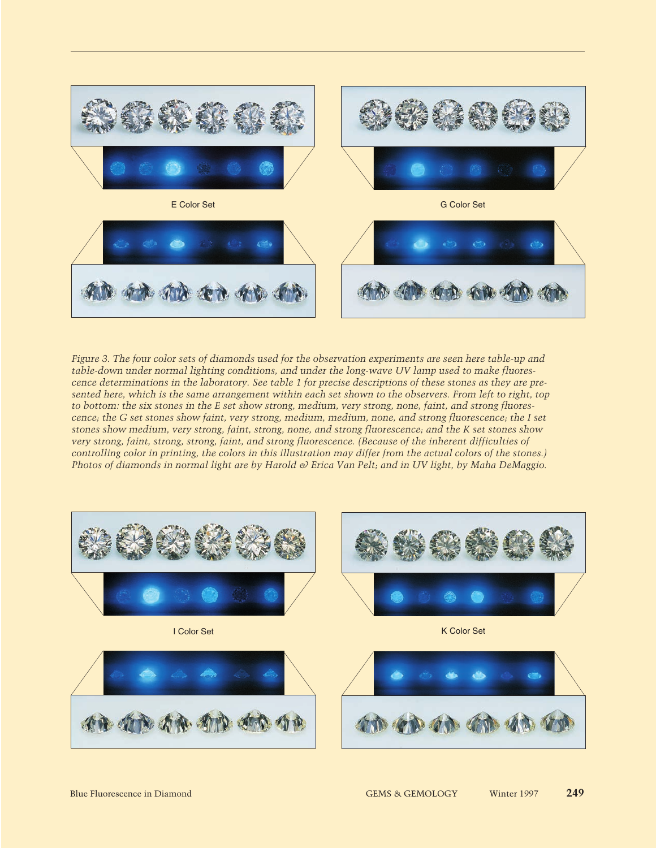

*Figure 3. The four color sets of diamonds used for the observation experiments are seen here table-up and table-down under normal lighting conditions, and under the long-wave UV lamp used to make fluorescence determinations in the laboratory. See table 1 for precise descriptions of these stones as they are presented here, which is the same arrangement within each set shown to the observers. From left to right, top to bottom: the six stones in the E set show strong, medium, very strong, none, faint, and strong fluorescence; the G set stones show faint, very strong, medium, medium, none, and strong fluorescence; the I set stones show medium, very strong, faint, strong, none, and strong fluorescence; and the K set stones show very strong, faint, strong, strong, faint, and strong fluorescence. (Because of the inherent difficulties of controlling color in printing, the colors in this illustration may differ from the actual colors of the stones.) Photos of diamonds in normal light are by Harold & Erica Van Pelt; and in UV light, by Maha DeMaggio.*

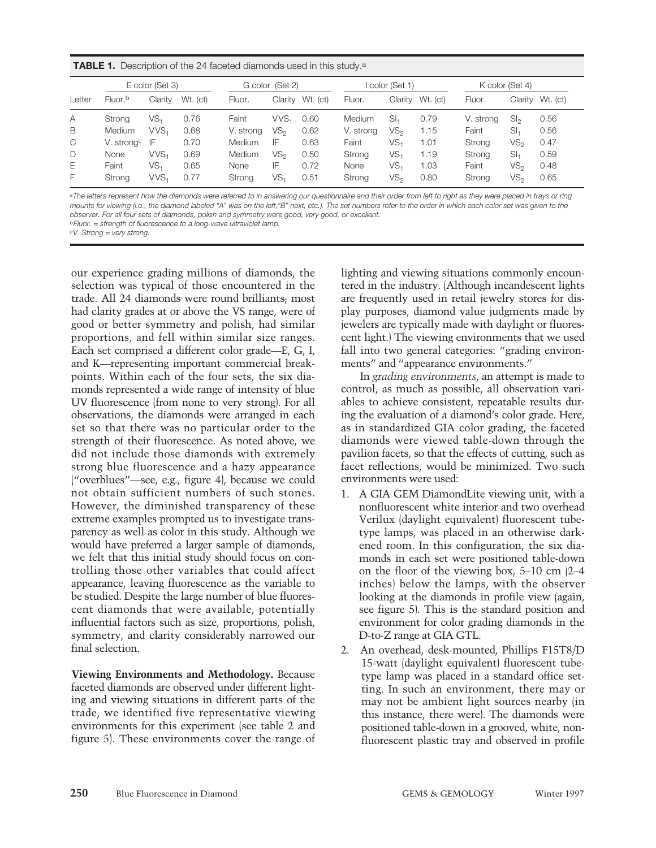| <b>TABLE 1.</b> Description of the 24 faceted diamonds used in this study. <sup>a</sup> |  |
|-----------------------------------------------------------------------------------------|--|
|-----------------------------------------------------------------------------------------|--|

|        | E color (Set 3)     |                  | G color (Set 2) |           | I color (Set 1)  |          |               | K color (Set 4) |          |           |                 |          |
|--------|---------------------|------------------|-----------------|-----------|------------------|----------|---------------|-----------------|----------|-----------|-----------------|----------|
| Letter | Fluor. <sup>b</sup> | Clarity          | Wt. (ct)        | Fluor.    | Clarity          | Wt. (ct) | Fluor.        | Claritv         | Wt. (ct) | Fluor.    | Claritv         | Wt. (ct) |
| A      | Strong              | VS.              | 0.76            | Faint     | VVS <sub>1</sub> | 0.60     | <b>Medium</b> | SI <sub>1</sub> | 0.79     | V. strong | Sl <sub>2</sub> | 0.56     |
| B      | <b>Medium</b>       | VVS <sub>1</sub> | 0.68            | V. strong | VS <sub>2</sub>  | 0.62     | V. strong     | VS,             | 1.15     | Faint     | SI <sub>1</sub> | 0.56     |
| C      | V. strongc          | IF               | 0.70            | Medium    | IF               | 0.63     | Faint         | VS.             | 1.01     | Strong    | VS <sub>2</sub> | 0.47     |
| D      | None                | VVS <sub>1</sub> | 0.69            | Medium    | VS <sub>2</sub>  | 0.50     | Strong        | VS,             | 1.19     | Strong    | SI <sub>1</sub> | 0.59     |
| Е      | Faint               | VS,              | 0.65            | None      | IF               | 0.72     | None          | VS,             | 1.03     | Faint     | VS <sub>2</sub> | 0.48     |
| F      | Strong              | VVS <sub>1</sub> | 0.77            | Strong    | VS,              | 0.51     | Strong        | VS,             | 0.80     | Strong    | VS <sub>2</sub> | 0.65     |

*aThe letters represent how the diamonds were referred to in answering our questionnaire and their order from left to right as they were placed in trays or ring mounts for viewing (i.e., the diamond labeled "A" was on the left,"B" next, etc.). The set numbers refer to the order in which each color set was given to the observer. For all four sets of diamonds, polish and symmetry were good, very good, or excellent.*

*bFluor. = strength of fluorescence to a long-wave ultraviolet lamp.*

*cV. Strong = very strong.*

our experience grading millions of diamonds, the selection was typical of those encountered in the trade. All 24 diamonds were round brilliants; most had clarity grades at or above the VS range, were of good or better symmetry and polish, had similar proportions, and fell within similar size ranges. Each set comprised a different color grade—E, G, I, and K—representing important commercial breakpoints. Within each of the four sets, the six diamonds represented a wide range of intensity of blue UV fluorescence (from none to very strong). For all observations, the diamonds were arranged in each set so that there was no particular order to the strength of their fluorescence. As noted above, we did not include those diamonds with extremely strong blue fluorescence and a hazy appearance ("overblues"—see, e.g., figure 4), because we could not obtain sufficient numbers of such stones. However, the diminished transparency of these extreme examples prompted us to investigate transparency as well as color in this study. Although we would have preferred a larger sample of diamonds, we felt that this initial study should focus on controlling those other variables that could affect appearance, leaving fluorescence as the variable to be studied. Despite the large number of blue fluorescent diamonds that were available, potentially influential factors such as size, proportions, polish, symmetry, and clarity considerably narrowed our final selection.

**Viewing Environments and Methodology.** Because faceted diamonds are observed under different lighting and viewing situations in different parts of the trade, we identified five representative viewing environments for this experiment (see table 2 and figure 5). These environments cover the range of lighting and viewing situations commonly encountered in the industry. (Although incandescent lights are frequently used in retail jewelry stores for display purposes, diamond value judgments made by jewelers are typically made with daylight or fluorescent light.) The viewing environments that we used fall into two general categories: "grading environments" and "appearance environments."

In *grading environments*, an attempt is made to control, as much as possible, all observation variables to achieve consistent, repeatable results during the evaluation of a diamond's color grade. Here, as in standardized GIA color grading, the faceted diamonds were viewed table-down through the pavilion facets, so that the effects of cutting, such as facet reflections, would be minimized. Two such environments were used:

- 1. A GIA GEM DiamondLite viewing unit, with a nonfluorescent white interior and two overhead Verilux (daylight equivalent) fluorescent tubetype lamps, was placed in an otherwise darkened room. In this configuration, the six diamonds in each set were positioned table-down on the floor of the viewing box, 5–10 cm (2–4 inches) below the lamps, with the observer looking at the diamonds in profile view (again, see figure 5). This is the standard position and environment for color grading diamonds in the D-to-Z range at GIA GTL.
- 2. An overhead, desk-mounted, Phillips F15T8/D 15-watt (daylight equivalent) fluorescent tubetype lamp was placed in a standard office setting. In such an environment, there may or may not be ambient light sources nearby (in this instance, there were). The diamonds were positioned table-down in a grooved, white, nonfluorescent plastic tray and observed in profile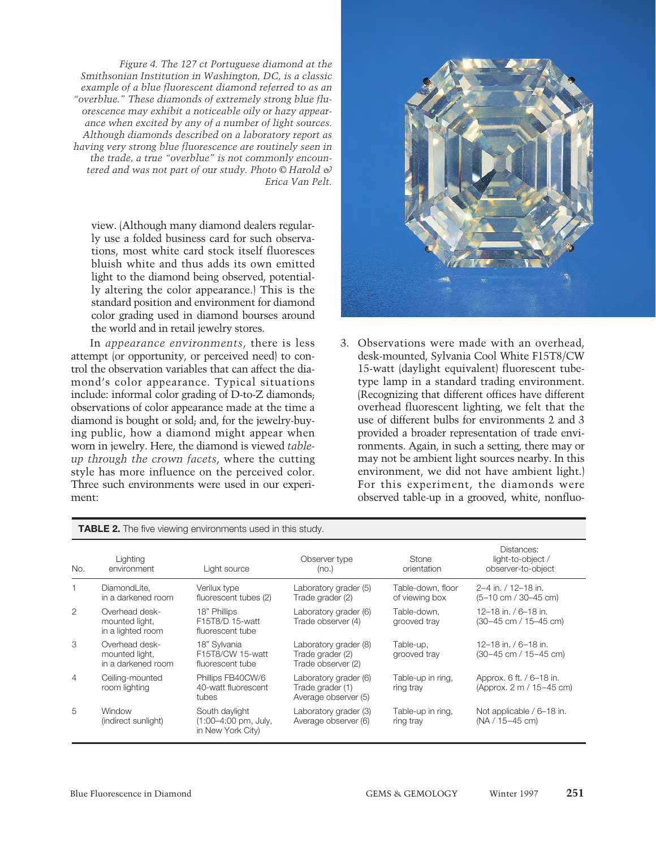*Figure 4. The 127 ct Portuguese diamond at the Smithsonian Institution in Washington, DC, is a classic example of a blue fluorescent diamond referred to as an "overblue." These diamonds of extremely strong blue fluorescence may exhibit a noticeable oily or hazy appearance when excited by any of a number of light sources. Although diamonds described on a laboratory report as having very strong blue fluorescence are routinely seen in the trade, a true "overblue" is not commonly encountered and was not part of our study. Photo © Harold & Erica Van Pelt.*

view. (Although many diamond dealers regularly use a folded business card for such observations, most white card stock itself fluoresces bluish white and thus adds its own emitted light to the diamond being observed, potentially altering the color appearance.) This is the standard position and environment for diamond color grading used in diamond bourses around the world and in retail jewelry stores.

In *appearance environments*, there is less attempt (or opportunity, or perceived need) to control the observation variables that can affect the diamond's color appearance. Typical situations include: informal color grading of D-to-Z diamonds; observations of color appearance made at the time a diamond is bought or sold; and, for the jewelry-buying public, how a diamond might appear when worn in jewelry. Here, the diamond is viewed *tableup through the crown facets*, where the cutting style has more influence on the perceived color. Three such environments were used in our experiment:



3. Observations were made with an overhead, desk-mounted, Sylvania Cool White F15T8/CW 15-watt (daylight equivalent) fluorescent tubetype lamp in a standard trading environment. (Recognizing that different offices have different overhead fluorescent lighting, we felt that the use of different bulbs for environments 2 and 3 provided a broader representation of trade environments. Again, in such a setting, there may or may not be ambient light sources nearby. In this environment, we did not have ambient light.) For this experiment, the diamonds were observed table-up in a grooved, white, nonfluo-

|                | <b>TABLE 2.</b> The five viewing environments used in this study. |                                                             |                                                                   |                                     |                                                               |  |  |  |  |
|----------------|-------------------------------------------------------------------|-------------------------------------------------------------|-------------------------------------------------------------------|-------------------------------------|---------------------------------------------------------------|--|--|--|--|
| No.            | Lighting<br>environment                                           | Light source                                                | Observer type<br>(no.)                                            | Stone<br>orientation                | Distances:<br>light-to-object /<br>observer-to-object         |  |  |  |  |
|                | DiamondLite,<br>in a darkened room                                | Verilux type<br>fluorescent tubes (2)                       | Laboratory grader (5)<br>Trade grader (2)                         | Table-down, floor<br>of viewing box | 2-4 in. / 12-18 in.<br>$(5-10 \text{ cm} / 30-45 \text{ cm})$ |  |  |  |  |
| 2              | Overhead desk-<br>mounted light.<br>in a lighted room             | 18" Phillips<br>F15T8/D 15-watt<br>fluorescent tube         | Laboratory grader (6)<br>Trade observer (4)                       | Table-down.<br>grooved tray         | 12-18 in. / 6-18 in.<br>(30-45 cm / 15-45 cm)                 |  |  |  |  |
| 3              | Overhead desk-<br>mounted light.<br>in a darkened room            | 18" Sylvania<br>F15T8/CW 15-watt<br>fluorescent tube        | Laboratory grader (8)<br>Trade grader (2)<br>Trade observer (2)   | Table-up,<br>grooved tray           | 12-18 in. / 6-18 in.<br>(30-45 cm / 15-45 cm)                 |  |  |  |  |
| $\overline{4}$ | Ceiling-mounted<br>room lighting                                  | Phillips FB40CW/6<br>40-watt fluorescent<br>tubes           | Laboratory grader (6)<br>Trade grader (1)<br>Average observer (5) | Table-up in ring,<br>ring tray      | Approx. 6 ft. / 6–18 in.<br>(Approx. 2 m / 15–45 cm)          |  |  |  |  |
| 5              | Window<br>(indirect sunlight)                                     | South daylight<br>(1:00-4:00 pm, July,<br>in New York City) | Laboratory grader (3)<br>Average observer (6)                     | Table-up in ring,<br>ring tray      | Not applicable / 6–18 in.<br>(NA / 15-45 cm)                  |  |  |  |  |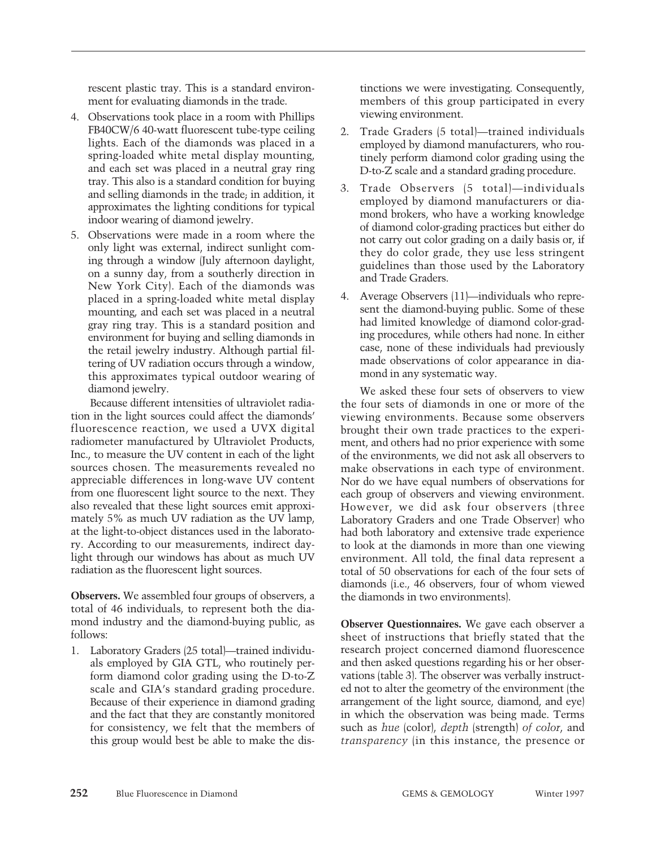rescent plastic tray. This is a standard environment for evaluating diamonds in the trade.

- 4. Observations took place in a room with Phillips FB40CW/6 40-watt fluorescent tube-type ceiling lights. Each of the diamonds was placed in a spring-loaded white metal display mounting, and each set was placed in a neutral gray ring tray. This also is a standard condition for buying and selling diamonds in the trade; in addition, it approximates the lighting conditions for typical indoor wearing of diamond jewelry.
- 5. Observations were made in a room where the only light was external, indirect sunlight coming through a window (July afternoon daylight, on a sunny day, from a southerly direction in New York City). Each of the diamonds was placed in a spring-loaded white metal display mounting, and each set was placed in a neutral gray ring tray. This is a standard position and environment for buying and selling diamonds in the retail jewelry industry. Although partial filtering of UV radiation occurs through a window, this approximates typical outdoor wearing of diamond jewelry.

Because different intensities of ultraviolet radiation in the light sources could affect the diamonds' fluorescence reaction, we used a UVX digital radiometer manufactured by Ultraviolet Products, Inc., to measure the UV content in each of the light sources chosen. The measurements revealed no appreciable differences in long-wave UV content from one fluorescent light source to the next. They also revealed that these light sources emit approximately 5% as much UV radiation as the UV lamp, at the light-to-object distances used in the laboratory. According to our measurements, indirect daylight through our windows has about as much UV radiation as the fluorescent light sources.

**Observers.** We assembled four groups of observers, a total of 46 individuals, to represent both the diamond industry and the diamond-buying public, as follows:

1. Laboratory Graders (25 total)—trained individuals employed by GIA GTL, who routinely perform diamond color grading using the D-to-Z scale and GIA's standard grading procedure. Because of their experience in diamond grading and the fact that they are constantly monitored for consistency, we felt that the members of this group would best be able to make the dis-

tinctions we were investigating. Consequently, members of this group participated in every viewing environment.

- 2. Trade Graders (5 total)—trained individuals employed by diamond manufacturers, who routinely perform diamond color grading using the D-to-Z scale and a standard grading procedure.
- 3. Trade Observers (5 total)—individuals employed by diamond manufacturers or diamond brokers, who have a working knowledge of diamond color-grading practices but either do not carry out color grading on a daily basis or, if they do color grade, they use less stringent guidelines than those used by the Laboratory and Trade Graders.
- 4. Average Observers (11)—individuals who represent the diamond-buying public. Some of these had limited knowledge of diamond color-grading procedures, while others had none. In either case, none of these individuals had previously made observations of color appearance in diamond in any systematic way.

We asked these four sets of observers to view the four sets of diamonds in one or more of the viewing environments. Because some observers brought their own trade practices to the experiment, and others had no prior experience with some of the environments, we did not ask all observers to make observations in each type of environment. Nor do we have equal numbers of observations for each group of observers and viewing environment. However, we did ask four observers (three Laboratory Graders and one Trade Observer) who had both laboratory and extensive trade experience to look at the diamonds in more than one viewing environment. All told, the final data represent a total of 50 observations for each of the four sets of diamonds (i.e., 46 observers, four of whom viewed the diamonds in two environments).

**Observer Questionnaires.** We gave each observer a sheet of instructions that briefly stated that the research project concerned diamond fluorescence and then asked questions regarding his or her observations (table 3). The observer was verbally instructed not to alter the geometry of the environment (the arrangement of the light source, diamond, and eye) in which the observation was being made. Terms such as *hue* (color), *depth* (strength) *of color*, and *transparency* (in this instance, the presence or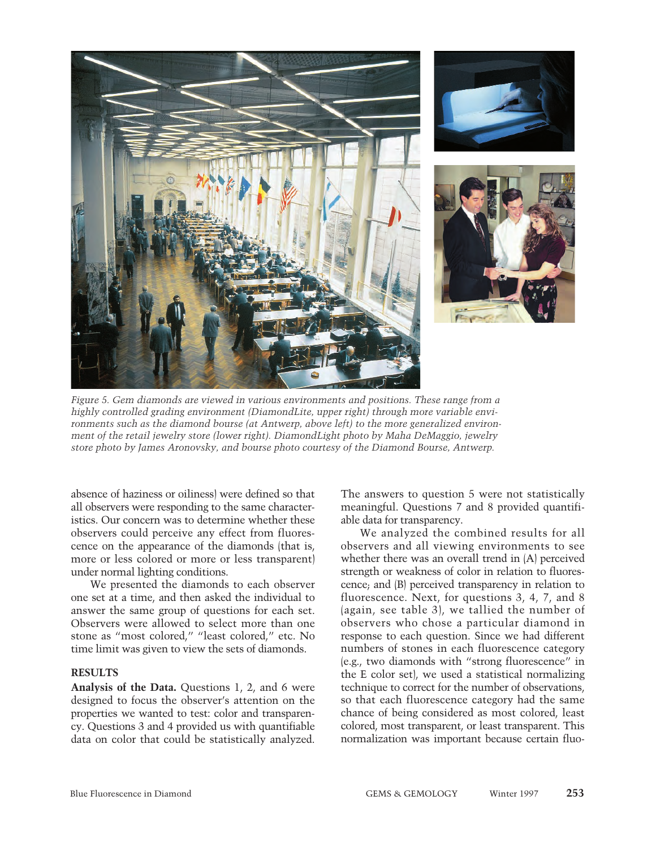





*Figure 5. Gem diamonds are viewed in various environments and positions. These range from a highly controlled grading environment (DiamondLite, upper right) through more variable environments such as the diamond bourse (at Antwerp, above left) to the more generalized environment of the retail jewelry store (lower right). DiamondLight photo by Maha DeMaggio, jewelry store photo by James Aronovsky, and bourse photo courtesy of the Diamond Bourse, Antwerp.*

absence of haziness or oiliness) were defined so that all observers were responding to the same characteristics. Our concern was to determine whether these observers could perceive any effect from fluorescence on the appearance of the diamonds (that is, more or less colored or more or less transparent) under normal lighting conditions.

We presented the diamonds to each observer one set at a time, and then asked the individual to answer the same group of questions for each set. Observers were allowed to select more than one stone as "most colored," "least colored," etc. No time limit was given to view the sets of diamonds.

### **RESULTS**

**Analysis of the Data.** Questions 1, 2, and 6 were designed to focus the observer's attention on the properties we wanted to test: color and transparency. Questions 3 and 4 provided us with quantifiable data on color that could be statistically analyzed.

The answers to question 5 were not statistically meaningful. Questions 7 and 8 provided quantifiable data for transparency.

We analyzed the combined results for all observers and all viewing environments to see whether there was an overall trend in (A) perceived strength or weakness of color in relation to fluorescence; and (B) perceived transparency in relation to fluorescence. Next, for questions 3, 4, 7, and 8 (again, see table 3), we tallied the number of observers who chose a particular diamond in response to each question. Since we had different numbers of stones in each fluorescence category (e.g., two diamonds with "strong fluorescence" in the E color set), we used a statistical normalizing technique to correct for the number of observations, so that each fluorescence category had the same chance of being considered as most colored, least colored, most transparent, or least transparent. This normalization was important because certain fluo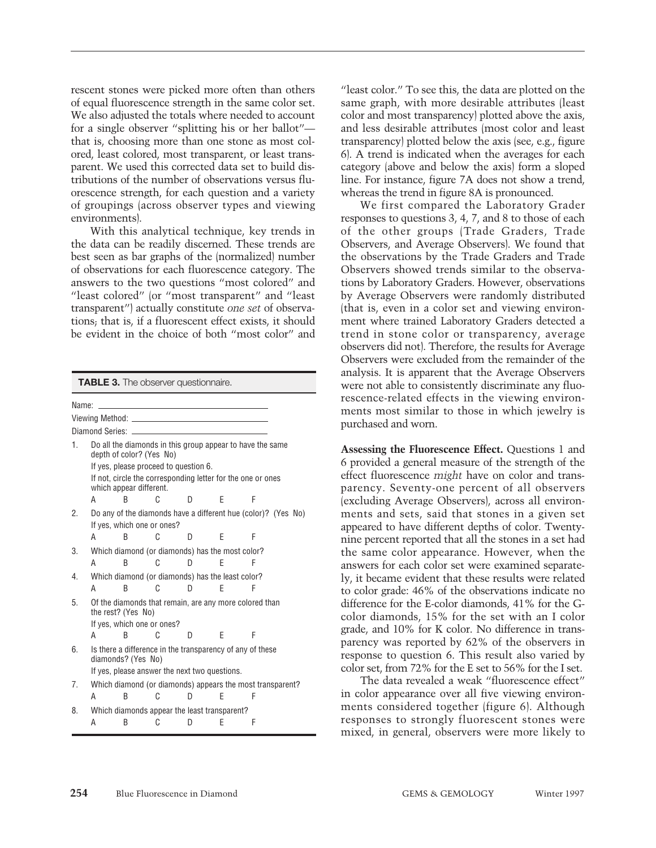rescent stones were picked more often than others of equal fluorescence strength in the same color set. We also adjusted the totals where needed to account for a single observer "splitting his or her ballot" that is, choosing more than one stone as most colored, least colored, most transparent, or least transparent. We used this corrected data set to build distributions of the number of observations versus fluorescence strength, for each question and a variety of groupings (across observer types and viewing environments).

With this analytical technique, key trends in the data can be readily discerned. These trends are best seen as bar graphs of the (normalized) number of observations for each fluorescence category. The answers to the two questions "most colored" and "least colored" (or "most transparent" and "least transparent") actually constitute *one set* of observations; that is, if a fluorescent effect exists, it should be evident in the choice of both "most color" and

|       |                                                                                                                                 |   |   | <b>TABLE 3.</b> The observer questionnaire.       |   |                                                           |  |  |
|-------|---------------------------------------------------------------------------------------------------------------------------------|---|---|---------------------------------------------------|---|-----------------------------------------------------------|--|--|
| Name: |                                                                                                                                 |   |   |                                                   |   |                                                           |  |  |
|       |                                                                                                                                 |   |   |                                                   |   |                                                           |  |  |
|       |                                                                                                                                 |   |   |                                                   |   |                                                           |  |  |
| 1.    | Do all the diamonds in this group appear to have the same<br>depth of color? (Yes No)                                           |   |   |                                                   |   |                                                           |  |  |
|       | If yes, please proceed to question 6.<br>If not, circle the corresponding letter for the one or ones<br>which appear different. |   |   |                                                   |   |                                                           |  |  |
|       | А                                                                                                                               | R | C | D                                                 | F | F                                                         |  |  |
| 2.    | Do any of the diamonds have a different hue (color)? (Yes No)<br>If yes, which one or ones?                                     |   |   |                                                   |   |                                                           |  |  |
|       | А                                                                                                                               | B | C | D                                                 | F | F                                                         |  |  |
| 3.    | Which diamond (or diamonds) has the most color?                                                                                 |   |   |                                                   |   |                                                           |  |  |
|       | А                                                                                                                               | B | C | D                                                 | F | F                                                         |  |  |
| 4.    | Which diamond (or diamonds) has the least color?                                                                                |   |   |                                                   |   |                                                           |  |  |
|       | А                                                                                                                               | B | C | n                                                 | F | F                                                         |  |  |
| 5.    | Of the diamonds that remain, are any more colored than<br>the rest? (Yes No)                                                    |   |   |                                                   |   |                                                           |  |  |
|       | If yes, which one or ones?                                                                                                      |   |   |                                                   |   |                                                           |  |  |
|       | Α                                                                                                                               | B | C | D                                                 | F | F                                                         |  |  |
| 6.    | Is there a difference in the transparency of any of these<br>diamonds? (Yes No)                                                 |   |   |                                                   |   |                                                           |  |  |
|       |                                                                                                                                 |   |   | If yes, please answer the next two questions.     |   |                                                           |  |  |
| 7.    |                                                                                                                                 |   |   |                                                   |   | Which diamond (or diamonds) appears the most transparent? |  |  |
|       | Α                                                                                                                               | B | C | D                                                 | F | F                                                         |  |  |
| 8.    | А                                                                                                                               | B | C | Which diamonds appear the least transparent?<br>D | Е | F                                                         |  |  |

"least color." To see this, the data are plotted on the same graph, with more desirable attributes (least color and most transparency) plotted above the axis, and less desirable attributes (most color and least transparency) plotted below the axis (see, e.g., figure 6). A trend is indicated when the averages for each category (above and below the axis) form a sloped line. For instance, figure 7A does not show a trend, whereas the trend in figure 8A is pronounced.

We first compared the Laboratory Grader responses to questions 3, 4, 7, and 8 to those of each of the other groups (Trade Graders, Trade Observers, and Average Observers). We found that the observations by the Trade Graders and Trade Observers showed trends similar to the observations by Laboratory Graders. However, observations by Average Observers were randomly distributed (that is, even in a color set and viewing environment where trained Laboratory Graders detected a trend in stone color or transparency, average observers did not). Therefore, the results for Average Observers were excluded from the remainder of the analysis. It is apparent that the Average Observers were not able to consistently discriminate any fluorescence-related effects in the viewing environments most similar to those in which jewelry is purchased and worn.

**Assessing the Fluorescence Effect.** Questions 1 and 6 provided a general measure of the strength of the effect fluorescence *might* have on color and transparency. Seventy-one percent of all observers (excluding Average Observers), across all environments and sets, said that stones in a given set appeared to have different depths of color. Twentynine percent reported that all the stones in a set had the same color appearance. However, when the answers for each color set were examined separately, it became evident that these results were related to color grade: 46% of the observations indicate no difference for the E-color diamonds, 41% for the Gcolor diamonds, 15% for the set with an I color grade, and 10% for K color. No difference in transparency was reported by 62% of the observers in response to question 6. This result also varied by color set, from 72% for the E set to 56% for the I set.

The data revealed a weak "fluorescence effect" in color appearance over all five viewing environments considered together (figure 6). Although responses to strongly fluorescent stones were mixed, in general, observers were more likely to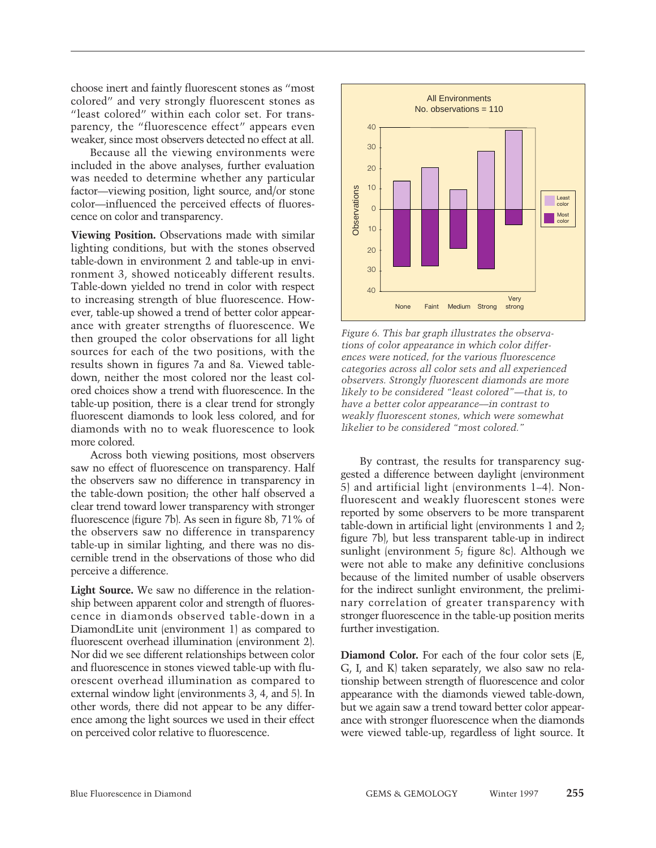choose inert and faintly fluorescent stones as "most colored" and very strongly fluorescent stones as "least colored" within each color set. For transparency, the "fluorescence effect" appears even weaker, since most observers detected no effect at all.

Because all the viewing environments were included in the above analyses, further evaluation was needed to determine whether any particular factor—viewing position, light source, and/or stone color—influenced the perceived effects of fluorescence on color and transparency.

**Viewing Position.** Observations made with similar lighting conditions, but with the stones observed table-down in environment 2 and table-up in environment 3, showed noticeably different results. Table-down yielded no trend in color with respect to increasing strength of blue fluorescence. However, table-up showed a trend of better color appearance with greater strengths of fluorescence. We then grouped the color observations for all light sources for each of the two positions, with the results shown in figures 7a and 8a. Viewed tabledown, neither the most colored nor the least colored choices show a trend with fluorescence. In the table-up position, there is a clear trend for strongly fluorescent diamonds to look less colored, and for diamonds with no to weak fluorescence to look more colored.

Across both viewing positions, most observers saw no effect of fluorescence on transparency. Half the observers saw no difference in transparency in the table-down position; the other half observed a clear trend toward lower transparency with stronger fluorescence (figure 7b). As seen in figure 8b, 71% of the observers saw no difference in transparency table-up in similar lighting, and there was no discernible trend in the observations of those who did perceive a difference.

**Light Source.** We saw no difference in the relationship between apparent color and strength of fluorescence in diamonds observed table-down in a DiamondLite unit (environment 1) as compared to fluorescent overhead illumination (environment 2). Nor did we see different relationships between color and fluorescence in stones viewed table-up with fluorescent overhead illumination as compared to external window light (environments 3, 4, and 5). In other words, there did not appear to be any difference among the light sources we used in their effect on perceived color relative to fluorescence.



*Figure 6. This bar graph illustrates the observations of color appearance in which color differences were noticed, for the various fluorescence categories across all color sets and all experienced observers. Strongly fluorescent diamonds are more likely to be considered "least colored"––that is, to have a better color appearance––in contrast to weakly fluorescent stones, which were somewhat likelier to be considered "most colored."*

By contrast, the results for transparency suggested a difference between daylight (environment 5) and artificial light (environments 1–4). Nonfluorescent and weakly fluorescent stones were reported by some observers to be more transparent table-down in artificial light (environments 1 and 2; figure 7b), but less transparent table-up in indirect sunlight (environment 5; figure 8c). Although we were not able to make any definitive conclusions because of the limited number of usable observers for the indirect sunlight environment, the preliminary correlation of greater transparency with stronger fluorescence in the table-up position merits further investigation.

**Diamond Color.** For each of the four color sets (E, G, I, and K) taken separately, we also saw no relationship between strength of fluorescence and color appearance with the diamonds viewed table-down, but we again saw a trend toward better color appearance with stronger fluorescence when the diamonds were viewed table-up, regardless of light source. It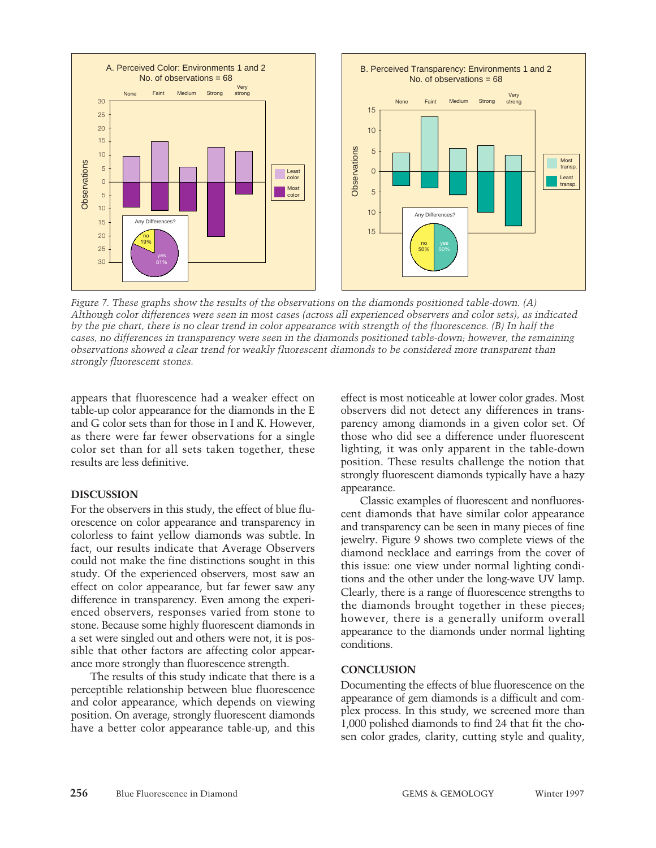

*Figure 7. These graphs show the results of the observations on the diamonds positioned table-down. (A) Although color differences were seen in most cases (across all experienced observers and color sets), as indicated by the pie chart, there is no clear trend in color appearance with strength of the fluorescence. (B) In half the cases, no differences in transparency were seen in the diamonds positioned table-down; however, the remaining observations showed a clear trend for weakly fluorescent diamonds to be considered more transparent than strongly fluorescent stones.*

appears that fluorescence had a weaker effect on table-up color appearance for the diamonds in the E and G color sets than for those in I and K. However, as there were far fewer observations for a single color set than for all sets taken together, these results are less definitive.

# **DISCUSSION**

For the observers in this study, the effect of blue fluorescence on color appearance and transparency in colorless to faint yellow diamonds was subtle. In fact, our results indicate that Average Observers could not make the fine distinctions sought in this study. Of the experienced observers, most saw an effect on color appearance, but far fewer saw any difference in transparency. Even among the experienced observers, responses varied from stone to stone. Because some highly fluorescent diamonds in a set were singled out and others were not, it is possible that other factors are affecting color appearance more strongly than fluorescence strength.

The results of this study indicate that there is a perceptible relationship between blue fluorescence and color appearance, which depends on viewing position. On average, strongly fluorescent diamonds have a better color appearance table-up, and this

effect is most noticeable at lower color grades. Most observers did not detect any differences in transparency among diamonds in a given color set. Of those who did see a difference under fluorescent lighting, it was only apparent in the table-down position. These results challenge the notion that strongly fluorescent diamonds typically have a hazy appearance.

Classic examples of fluorescent and nonfluorescent diamonds that have similar color appearance and transparency can be seen in many pieces of fine jewelry. Figure 9 shows two complete views of the diamond necklace and earrings from the cover of this issue: one view under normal lighting conditions and the other under the long-wave UV lamp. Clearly, there is a range of fluorescence strengths to the diamonds brought together in these pieces; however, there is a generally uniform overall appearance to the diamonds under normal lighting conditions.

# **CONCLUSION**

Documenting the effects of blue fluorescence on the appearance of gem diamonds is a difficult and complex process. In this study, we screened more than 1,000 polished diamonds to find 24 that fit the chosen color grades, clarity, cutting style and quality,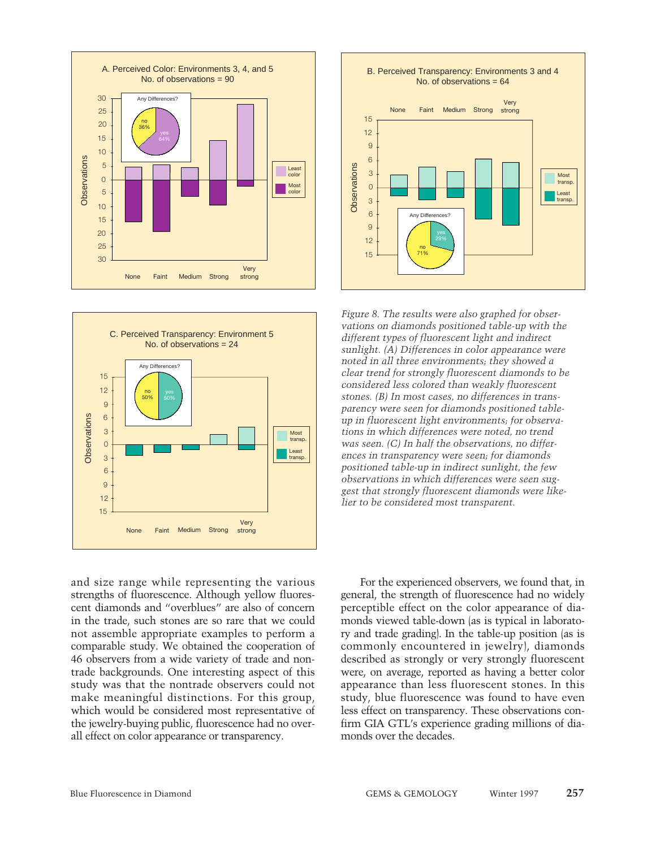





*Figure 8. The results were also graphed for observations on diamonds positioned table-up with the different types of fluorescent light and indirect sunlight. (A) Differences in color appearance were noted in all three environments; they showed a clear trend for strongly fluorescent diamonds to be considered less colored than weakly fluorescent stones. (B) In most cases, no differences in transparency were seen for diamonds positioned tableup in fluorescent light environments; for observations in which differences were noted, no trend was seen. (C) In half the observations, no differences in transparency were seen; for diamonds positioned table-up in indirect sunlight, the few observations in which differences were seen suggest that strongly fluorescent diamonds were likelier to be considered most transparent.*

and size range while representing the various strengths of fluorescence. Although yellow fluorescent diamonds and "overblues" are also of concern in the trade, such stones are so rare that we could not assemble appropriate examples to perform a comparable study. We obtained the cooperation of 46 observers from a wide variety of trade and nontrade backgrounds. One interesting aspect of this study was that the nontrade observers could not make meaningful distinctions. For this group, which would be considered most representative of the jewelry-buying public, fluorescence had no overall effect on color appearance or transparency.

For the experienced observers, we found that, in general, the strength of fluorescence had no widely perceptible effect on the color appearance of diamonds viewed table-down (as is typical in laboratory and trade grading). In the table-up position (as is commonly encountered in jewelry), diamonds described as strongly or very strongly fluorescent were, on average, reported as having a better color appearance than less fluorescent stones. In this study, blue fluorescence was found to have even less effect on transparency. These observations confirm GIA GTL's experience grading millions of diamonds over the decades.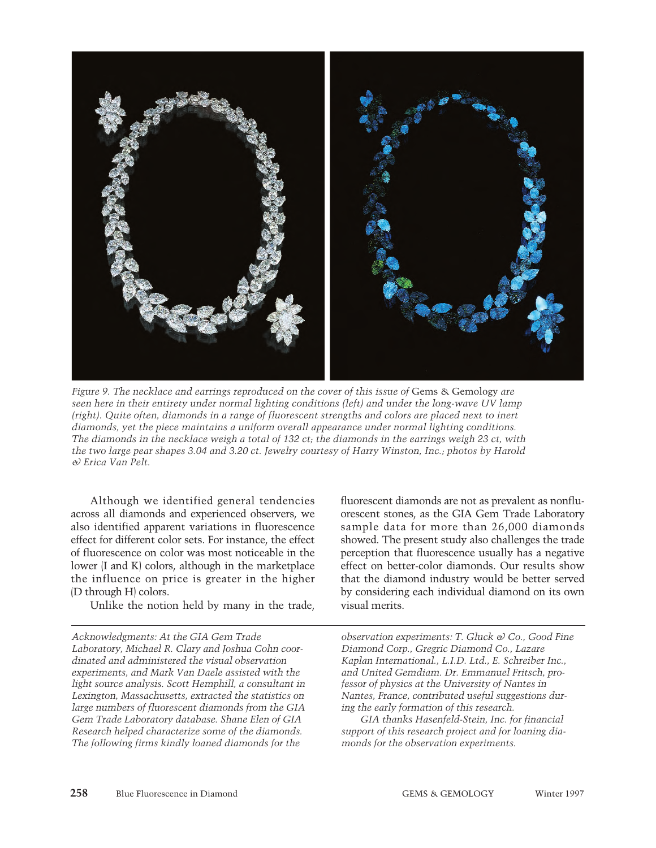

*Figure 9. The necklace and earrings reproduced on the cover of this issue of Gems & Gemology are seen here in their entirety under normal lighting conditions (left) and under the long-wave UV lamp (right). Quite often, diamonds in a range of fluorescent strengths and colors are placed next to inert diamonds, yet the piece maintains a uniform overall appearance under normal lighting conditions. The diamonds in the necklace weigh a total of 132 ct; the diamonds in the earrings weigh 23 ct, with the two large pear shapes 3.04 and 3.20 ct. Jewelry courtesy of Harry Winston, Inc.; photos by Harold & Erica Van Pelt.*

Although we identified general tendencies across all diamonds and experienced observers, we also identified apparent variations in fluorescence effect for different color sets. For instance, the effect of fluorescence on color was most noticeable in the lower (I and K) colors, although in the marketplace the influence on price is greater in the higher (D through H) colors.

Unlike the notion held by many in the trade,

*Acknowledgments: At the GIA Gem Trade Laboratory, Michael R. Clary and Joshua Cohn coordinated and administered the visual observation experiments, and Mark Van Daele assisted with the light source analysis. Scott Hemphill, a consultant in Lexington, Massachusetts, extracted the statistics on large numbers of fluorescent diamonds from the GIA Gem Trade Laboratory database. Shane Elen of GIA Research helped characterize some of the diamonds. The following firms kindly loaned diamonds for the*

fluorescent diamonds are not as prevalent as nonfluorescent stones, as the GIA Gem Trade Laboratory sample data for more than 26,000 diamonds showed. The present study also challenges the trade perception that fluorescence usually has a negative effect on better-color diamonds. Our results show that the diamond industry would be better served by considering each individual diamond on its own visual merits.

*observation experiments: T. Gluck & Co., Good Fine Diamond Corp., Gregric Diamond Co., Lazare Kaplan International., L.I.D. Ltd., E. Schreiber Inc., and United Gemdiam. Dr. Emmanuel Fritsch, professor of physics at the University of Nantes in Nantes, France, contributed useful suggestions during the early formation of this research.* 

*GIA thanks Hasenfeld-Stein, Inc. for financial support of this research project and for loaning diamonds for the observation experiments.*